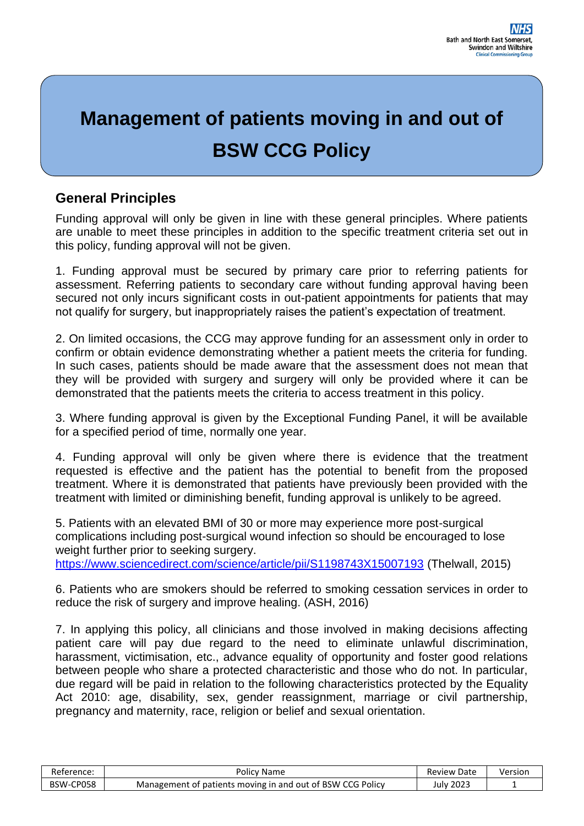# **Management of patients moving in and out of BSW CCG Policy**

# **General Principles**

Funding approval will only be given in line with these general principles. Where patients are unable to meet these principles in addition to the specific treatment criteria set out in this policy, funding approval will not be given.

1. Funding approval must be secured by primary care prior to referring patients for assessment. Referring patients to secondary care without funding approval having been secured not only incurs significant costs in out-patient appointments for patients that may not qualify for surgery, but inappropriately raises the patient's expectation of treatment.

2. On limited occasions, the CCG may approve funding for an assessment only in order to confirm or obtain evidence demonstrating whether a patient meets the criteria for funding. In such cases, patients should be made aware that the assessment does not mean that they will be provided with surgery and surgery will only be provided where it can be demonstrated that the patients meets the criteria to access treatment in this policy.

3. Where funding approval is given by the Exceptional Funding Panel, it will be available for a specified period of time, normally one year.

4. Funding approval will only be given where there is evidence that the treatment requested is effective and the patient has the potential to benefit from the proposed treatment. Where it is demonstrated that patients have previously been provided with the treatment with limited or diminishing benefit, funding approval is unlikely to be agreed.

5. Patients with an elevated BMI of 30 or more may experience more post-surgical complications including post-surgical wound infection so should be encouraged to lose weight further prior to seeking surgery.

<https://www.sciencedirect.com/science/article/pii/S1198743X15007193> (Thelwall, 2015)

6. Patients who are smokers should be referred to smoking cessation services in order to reduce the risk of surgery and improve healing. (ASH, 2016)

7. In applying this policy, all clinicians and those involved in making decisions affecting patient care will pay due regard to the need to eliminate unlawful discrimination, harassment, victimisation, etc., advance equality of opportunity and foster good relations between people who share a protected characteristic and those who do not. In particular, due regard will be paid in relation to the following characteristics protected by the Equality Act 2010: age, disability, sex, gender reassignment, marriage or civil partnership, pregnancy and maternity, race, religion or belief and sexual orientation.

| Reference: | Policv Name                                                | Date<br>Review I | Version |
|------------|------------------------------------------------------------|------------------|---------|
| BSW-CP058  | Management of patients moving in and out of BSW CCG Policy | 2023<br>,ulv     |         |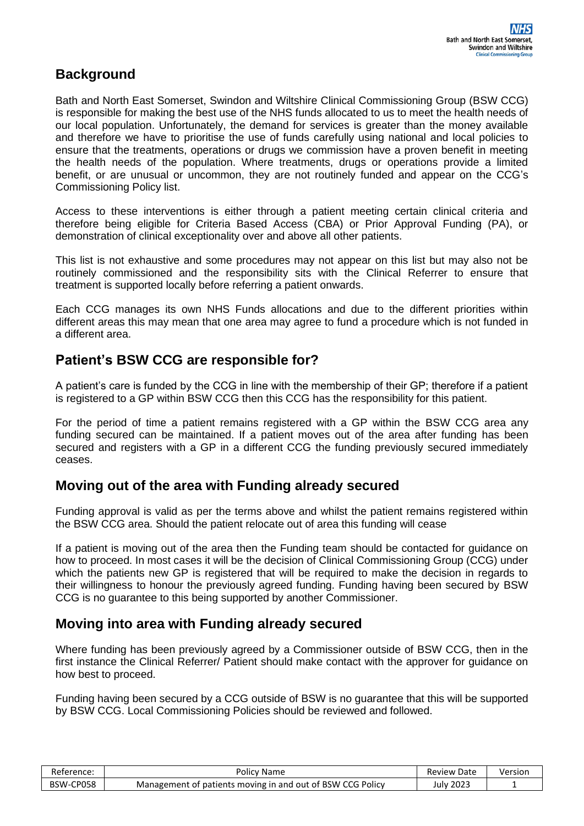## **Background**

Bath and North East Somerset, Swindon and Wiltshire Clinical Commissioning Group (BSW CCG) is responsible for making the best use of the NHS funds allocated to us to meet the health needs of our local population. Unfortunately, the demand for services is greater than the money available and therefore we have to prioritise the use of funds carefully using national and local policies to ensure that the treatments, operations or drugs we commission have a proven benefit in meeting the health needs of the population. Where treatments, drugs or operations provide a limited benefit, or are unusual or uncommon, they are not routinely funded and appear on the CCG's Commissioning Policy list.

Access to these interventions is either through a patient meeting certain clinical criteria and therefore being eligible for Criteria Based Access (CBA) or Prior Approval Funding (PA), or demonstration of clinical exceptionality over and above all other patients.

This list is not exhaustive and some procedures may not appear on this list but may also not be routinely commissioned and the responsibility sits with the Clinical Referrer to ensure that treatment is supported locally before referring a patient onwards.

Each CCG manages its own NHS Funds allocations and due to the different priorities within different areas this may mean that one area may agree to fund a procedure which is not funded in a different area.

#### **Patient's BSW CCG are responsible for?**

A patient's care is funded by the CCG in line with the membership of their GP; therefore if a patient is registered to a GP within BSW CCG then this CCG has the responsibility for this patient.

For the period of time a patient remains registered with a GP within the BSW CCG area any funding secured can be maintained. If a patient moves out of the area after funding has been secured and registers with a GP in a different CCG the funding previously secured immediately ceases.

## **Moving out of the area with Funding already secured**

Funding approval is valid as per the terms above and whilst the patient remains registered within the BSW CCG area. Should the patient relocate out of area this funding will cease

If a patient is moving out of the area then the Funding team should be contacted for guidance on how to proceed. In most cases it will be the decision of Clinical Commissioning Group (CCG) under which the patients new GP is registered that will be required to make the decision in regards to their willingness to honour the previously agreed funding. Funding having been secured by BSW CCG is no guarantee to this being supported by another Commissioner.

#### **Moving into area with Funding already secured**

Where funding has been previously agreed by a Commissioner outside of BSW CCG, then in the first instance the Clinical Referrer/ Patient should make contact with the approver for guidance on how best to proceed.

Funding having been secured by a CCG outside of BSW is no guarantee that this will be supported by BSW CCG. Local Commissioning Policies should be reviewed and followed.

| Reference: | Policy Name                                                | <b>Review Date</b> | Version |
|------------|------------------------------------------------------------|--------------------|---------|
| BSW-CP058  | Management of patients moving in and out of BSW CCG Policy | Julv 2023          |         |